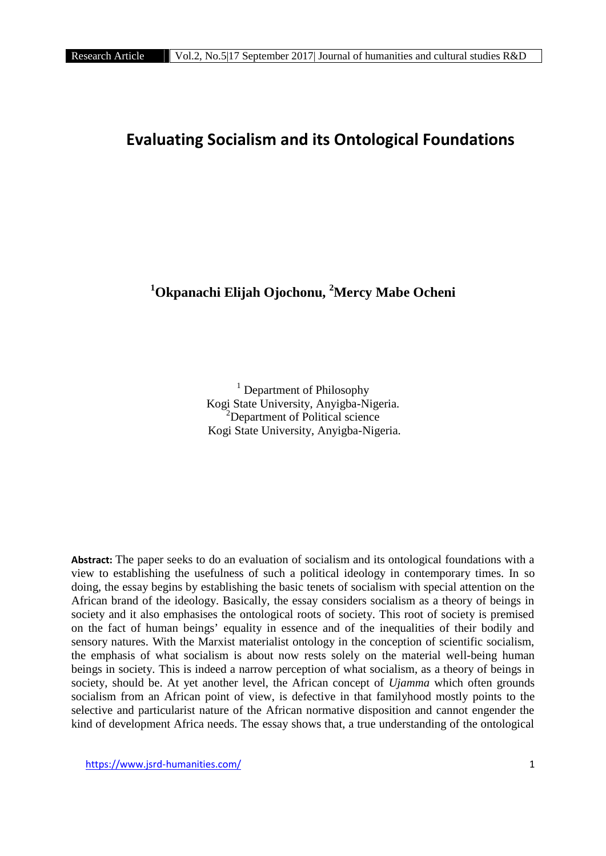# **Evaluating Socialism and its Ontological Foundations**

# **<sup>1</sup>Okpanachi Elijah Ojochonu, <sup>2</sup>Mercy Mabe Ocheni**

 $<sup>1</sup>$  Department of Philosophy</sup> Kogi State University, Anyigba-Nigeria.<br><sup>2</sup>Department of Political science Kogi State University, Anyigba-Nigeria.

**Abstract:** The paper seeks to do an evaluation of socialism and its ontological foundations with a view to establishing the usefulness of such a political ideology in contemporary times. In so doing, the essay begins by establishing the basic tenets of socialism with special attention on the African brand of the ideology. Basically, the essay considers socialism as a theory of beings in society and it also emphasises the ontological roots of society. This root of society is premised on the fact of human beings' equality in essence and of the inequalities of their bodily and sensory natures. With the Marxist materialist ontology in the conception of scientific socialism, the emphasis of what socialism is about now rests solely on the material well-being human beings in society. This is indeed a narrow perception of what socialism, as a theory of beings in society, should be. At yet another level, the African concept of *Ujamma* which often grounds socialism from an African point of view, is defective in that familyhood mostly points to the selective and particularist nature of the African normative disposition and cannot engender the kind of development Africa needs. The essay shows that, a true understanding of the ontological

https://www.jsrd-humanities.com/ 1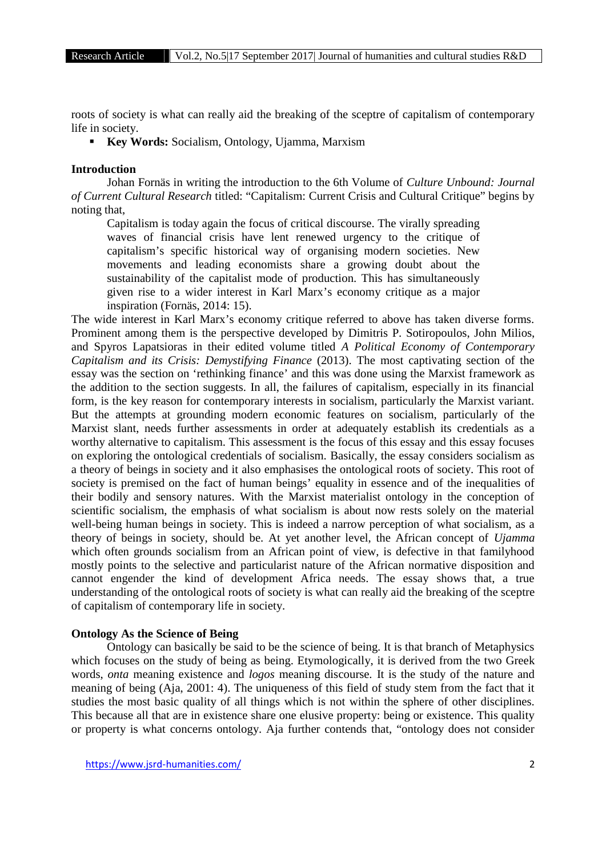roots of society is what can really aid the breaking of the sceptre of capitalism of contemporary life in society.

**Key Words:** Socialism, Ontology, Ujamma, Marxism

## **Introduction**

Johan Fornäs in writing the introduction to the 6th Volume of *Culture Unbound: Journal of Current Cultural Research* titled: "Capitalism: Current Crisis and Cultural Critique" begins by noting that,

Capitalism is today again the focus of critical discourse. The virally spreading waves of financial crisis have lent renewed urgency to the critique of capitalism's specific historical way of organising modern societies. New movements and leading economists share a growing doubt about the sustainability of the capitalist mode of production. This has simultaneously given rise to a wider interest in Karl Marx's economy critique as a major inspiration (Fornäs, 2014: 15).

The wide interest in Karl Marx's economy critique referred to above has taken diverse forms. Prominent among them is the perspective developed by Dimitris P. Sotiropoulos, John Milios, and Spyros Lapatsioras in their edited volume titled *A Political Economy of Contemporary Capitalism and its Crisis: Demystifying Finance* (2013). The most captivating section of the essay was the section on 'rethinking finance' and this was done using the Marxist framework as the addition to the section suggests. In all, the failures of capitalism, especially in its financial form, is the key reason for contemporary interests in socialism, particularly the Marxist variant. But the attempts at grounding modern economic features on socialism, particularly of the Marxist slant, needs further assessments in order at adequately establish its credentials as a worthy alternative to capitalism. This assessment is the focus of this essay and this essay focuses on exploring the ontological credentials of socialism. Basically, the essay considers socialism as a theory of beings in society and it also emphasises the ontological roots of society. This root of society is premised on the fact of human beings' equality in essence and of the inequalities of their bodily and sensory natures. With the Marxist materialist ontology in the conception of scientific socialism, the emphasis of what socialism is about now rests solely on the material well-being human beings in society. This is indeed a narrow perception of what socialism, as a theory of beings in society, should be. At yet another level, the African concept of *Ujamma* which often grounds socialism from an African point of view, is defective in that familyhood mostly points to the selective and particularist nature of the African normative disposition and cannot engender the kind of development Africa needs. The essay shows that, a true understanding of the ontological roots of society is what can really aid the breaking of the sceptre of capitalism of contemporary life in society.

#### **Ontology As the Science of Being**

Ontology can basically be said to be the science of being. It is that branch of Metaphysics which focuses on the study of being as being. Etymologically, it is derived from the two Greek words, *onta* meaning existence and *logos* meaning discourse*.* It is the study of the nature and meaning of being (Aja, 2001: 4). The uniqueness of this field of study stem from the fact that it studies the most basic quality of all things which is not within the sphere of other disciplines. This because all that are in existence share one elusive property: being or existence. This quality or property is what concerns ontology. Aja further contends that, "ontology does not consider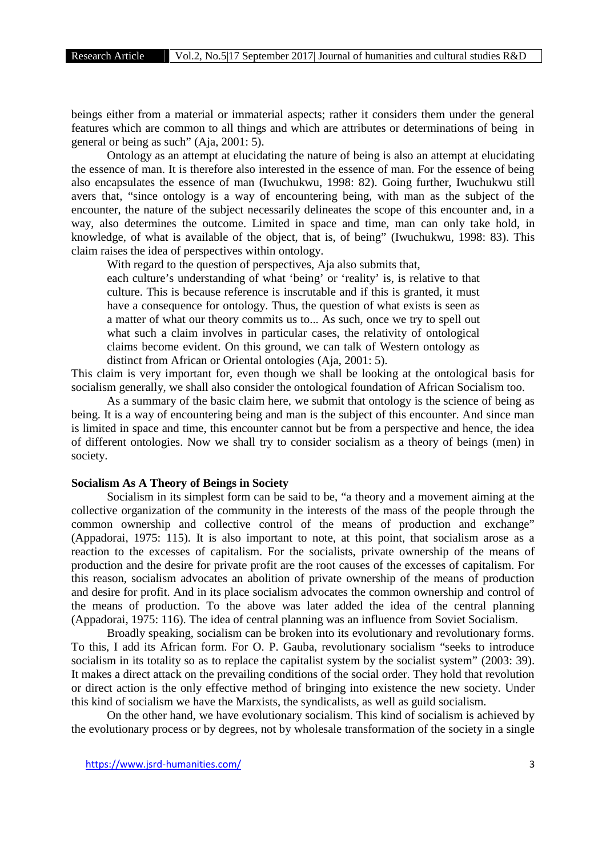beings either from a material or immaterial aspects; rather it considers them under the general features which are common to all things and which are attributes or determinations of being in general or being as such" (Aja, 2001: 5).

Ontology as an attempt at elucidating the nature of being is also an attempt at elucidating the essence of man. It is therefore also interested in the essence of man. For the essence of being also encapsulates the essence of man (Iwuchukwu, 1998: 82). Going further, Iwuchukwu still avers that, "since ontology is a way of encountering being, with man as the subject of the encounter, the nature of the subject necessarily delineates the scope of this encounter and, in a way, also determines the outcome. Limited in space and time, man can only take hold, in knowledge, of what is available of the object, that is, of being" (Iwuchukwu, 1998: 83). This claim raises the idea of perspectives within ontology.

With regard to the question of perspectives, Aja also submits that,

each culture's understanding of what 'being' or 'reality' is, is relative to that culture. This is because reference is inscrutable and if this is granted, it must have a consequence for ontology. Thus, the question of what exists is seen as a matter of what our theory commits us to... As such, once we try to spell out what such a claim involves in particular cases, the relativity of ontological claims become evident. On this ground, we can talk of Western ontology as distinct from African or Oriental ontologies (Aja, 2001: 5).

This claim is very important for, even though we shall be looking at the ontological basis for socialism generally, we shall also consider the ontological foundation of African Socialism too.

As a summary of the basic claim here, we submit that ontology is the science of being as being. It is a way of encountering being and man is the subject of this encounter. And since man is limited in space and time, this encounter cannot but be from a perspective and hence, the idea of different ontologies. Now we shall try to consider socialism as a theory of beings (men) in society.

## **Socialism As A Theory of Beings in Society**

Socialism in its simplest form can be said to be, "a theory and a movement aiming at the collective organization of the community in the interests of the mass of the people through the common ownership and collective control of the means of production and exchange" (Appadorai, 1975: 115). It is also important to note, at this point, that socialism arose as a reaction to the excesses of capitalism. For the socialists, private ownership of the means of production and the desire for private profit are the root causes of the excesses of capitalism. For this reason, socialism advocates an abolition of private ownership of the means of production and desire for profit. And in its place socialism advocates the common ownership and control of the means of production. To the above was later added the idea of the central planning (Appadorai, 1975: 116). The idea of central planning was an influence from Soviet Socialism.

Broadly speaking, socialism can be broken into its evolutionary and revolutionary forms. To this, I add its African form. For O. P. Gauba, revolutionary socialism "seeks to introduce socialism in its totality so as to replace the capitalist system by the socialist system" (2003: 39). It makes a direct attack on the prevailing conditions of the social order. They hold that revolution or direct action is the only effective method of bringing into existence the new society. Under this kind of socialism we have the Marxists, the syndicalists, as well as guild socialism.

On the other hand, we have evolutionary socialism. This kind of socialism is achieved by the evolutionary process or by degrees, not by wholesale transformation of the society in a single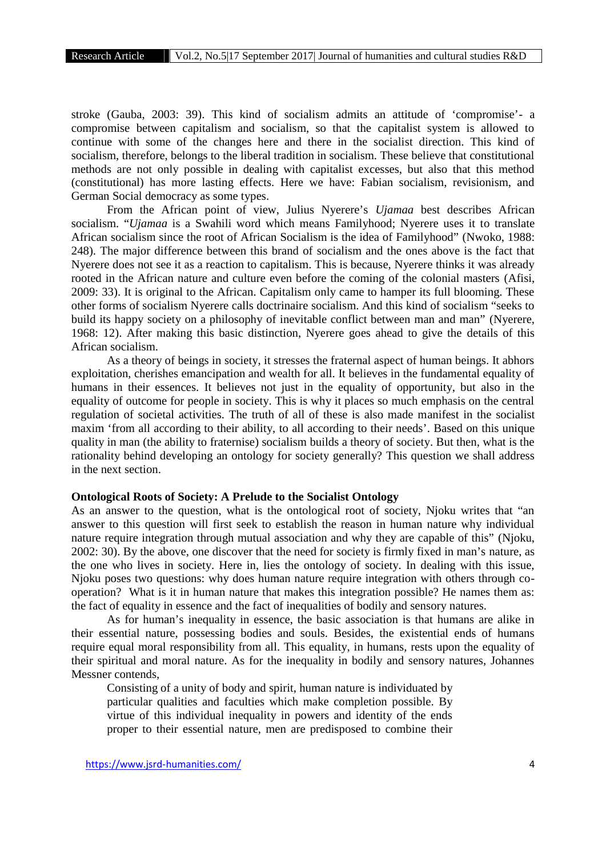stroke (Gauba, 2003: 39). This kind of socialism admits an attitude of 'compromise'- a compromise between capitalism and socialism, so that the capitalist system is allowed to continue with some of the changes here and there in the socialist direction. This kind of socialism, therefore, belongs to the liberal tradition in socialism. These believe that constitutional methods are not only possible in dealing with capitalist excesses, but also that this method (constitutional) has more lasting effects. Here we have: Fabian socialism, revisionism, and German Social democracy as some types.

From the African point of view, Julius Nyerere's *Ujamaa* best describes African socialism. "*Ujamaa* is a Swahili word which means Familyhood; Nyerere uses it to translate African socialism since the root of African Socialism is the idea of Familyhood" (Nwoko, 1988: 248). The major difference between this brand of socialism and the ones above is the fact that Nyerere does not see it as a reaction to capitalism. This is because, Nyerere thinks it was already rooted in the African nature and culture even before the coming of the colonial masters (Afisi, 2009: 33). It is original to the African. Capitalism only came to hamper its full blooming. These other forms of socialism Nyerere calls doctrinaire socialism. And this kind of socialism "seeks to build its happy society on a philosophy of inevitable conflict between man and man" (Nyerere, 1968: 12). After making this basic distinction, Nyerere goes ahead to give the details of this African socialism.

As a theory of beings in society, it stresses the fraternal aspect of human beings. It abhors exploitation, cherishes emancipation and wealth for all. It believes in the fundamental equality of humans in their essences. It believes not just in the equality of opportunity, but also in the equality of outcome for people in society. This is why it places so much emphasis on the central regulation of societal activities. The truth of all of these is also made manifest in the socialist maxim 'from all according to their ability, to all according to their needs'. Based on this unique quality in man (the ability to fraternise) socialism builds a theory of society. But then, what is the rationality behind developing an ontology for society generally? This question we shall address in the next section.

## **Ontological Roots of Society: A Prelude to the Socialist Ontology**

As an answer to the question, what is the ontological root of society, Njoku writes that "an answer to this question will first seek to establish the reason in human nature why individual nature require integration through mutual association and why they are capable of this" (Njoku, 2002: 30). By the above, one discover that the need for society is firmly fixed in man's nature, as the one who lives in society. Here in, lies the ontology of society. In dealing with this issue, Njoku poses two questions: why does human nature require integration with others through co operation? What is it in human nature that makes this integration possible? He names them as: the fact of equality in essence and the fact of inequalities of bodily and sensory natures.

As for human's inequality in essence, the basic association is that humans are alike in their essential nature, possessing bodies and souls. Besides, the existential ends of humans require equal moral responsibility from all. This equality, in humans, rests upon the equality of their spiritual and moral nature. As for the inequality in bodily and sensory natures, Johannes Messner contends,

Consisting of a unity of body and spirit, human nature is individuated by particular qualities and faculties which make completion possible. By virtue of this individual inequality in powers and identity of the ends proper to their essential nature, men are predisposed to combine their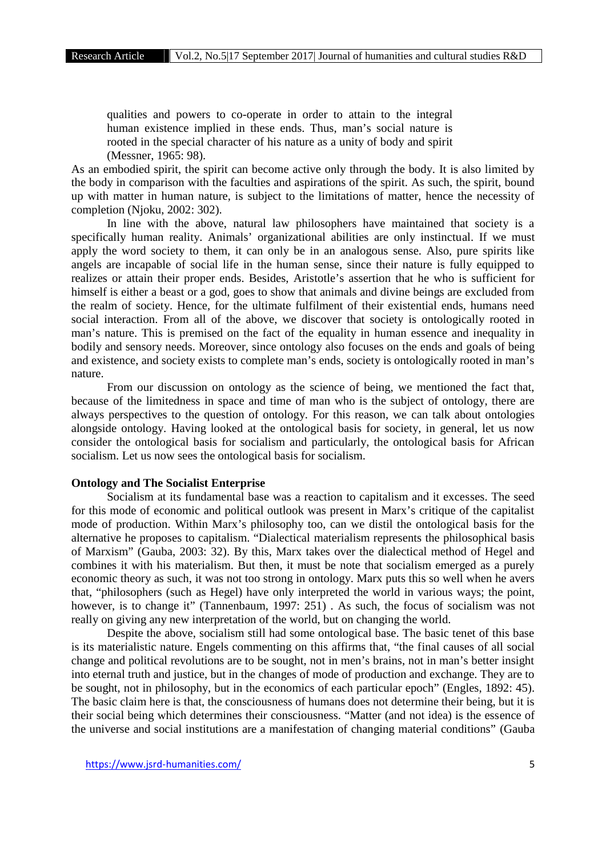qualities and powers to co-operate in order to attain to the integral human existence implied in these ends. Thus, man's social nature is rooted in the special character of his nature as a unity of body and spirit (Messner, 1965: 98).

As an embodied spirit, the spirit can become active only through the body. It is also limited by the body in comparison with the faculties and aspirations of the spirit. As such, the spirit, bound up with matter in human nature, is subject to the limitations of matter, hence the necessity of completion (Njoku, 2002: 302).

In line with the above, natural law philosophers have maintained that society is a specifically human reality. Animals' organizational abilities are only instinctual. If we must apply the word society to them, it can only be in an analogous sense. Also, pure spirits like angels are incapable of social life in the human sense, since their nature is fully equipped to realizes or attain their proper ends. Besides, Aristotle's assertion that he who is sufficient for himself is either a beast or a god, goes to show that animals and divine beings are excluded from the realm of society. Hence, for the ultimate fulfilment of their existential ends, humans need social interaction. From all of the above, we discover that society is ontologically rooted in man's nature. This is premised on the fact of the equality in human essence and inequality in bodily and sensory needs. Moreover, since ontology also focuses on the ends and goals of being and existence, and society exists to complete man's ends, society is ontologically rooted in man's nature.

From our discussion on ontology as the science of being, we mentioned the fact that, because of the limitedness in space and time of man who is the subject of ontology, there are always perspectives to the question of ontology. For this reason, we can talk about ontologies alongside ontology. Having looked at the ontological basis for society, in general, let us now consider the ontological basis for socialism and particularly, the ontological basis for African socialism. Let us now sees the ontological basis for socialism.

## **Ontology and The Socialist Enterprise**

Socialism at its fundamental base was a reaction to capitalism and it excesses. The seed for this mode of economic and political outlook was present in Marx's critique of the capitalist mode of production. Within Marx's philosophy too, can we distil the ontological basis for the alternative he proposes to capitalism. "Dialectical materialism represents the philosophical basis of Marxism" (Gauba, 2003: 32). By this, Marx takes over the dialectical method of Hegel and combines it with his materialism. But then, it must be note that socialism emerged as a purely economic theory as such, it was not too strong in ontology. Marx puts this so well when he avers that, "philosophers (such as Hegel) have only interpreted the world in various ways; the point, however, is to change it" (Tannenbaum, 1997: 251). As such, the focus of socialism was not really on giving any new interpretation of the world, but on changing the world.

Despite the above, socialism still had some ontological base. The basic tenet of this base is its materialistic nature. Engels commenting on this affirms that, "the final causes of all social change and political revolutions are to be sought, not in men's brains, not in man's better insight into eternal truth and justice, but in the changes of mode of production and exchange. They are to be sought, not in philosophy, but in the economics of each particular epoch" (Engles, 1892: 45). The basic claim here is that, the consciousness of humans does not determine their being, but it is their social being which determines their consciousness. "Matter (and not idea) is the essence of the universe and social institutions are a manifestation of changing material conditions" (Gauba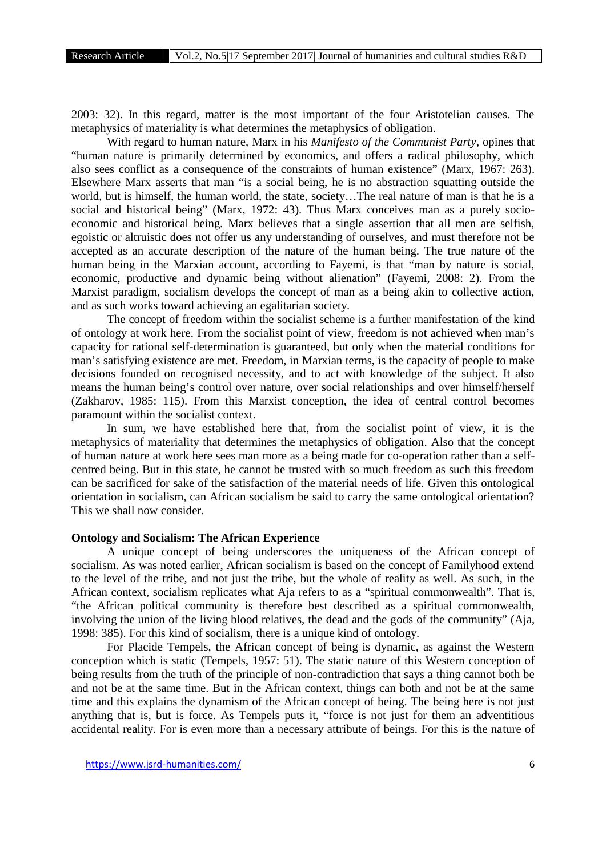2003: 32). In this regard, matter is the most important of the four Aristotelian causes. The metaphysics of materiality is what determines the metaphysics of obligation.

With regard to human nature, Marx in his *Manifesto of the Communist Party*, opines that "human nature is primarily determined by economics, and offers a radical philosophy, which also sees conflict as a consequence of the constraints of human existence" (Marx, 1967: 263). Elsewhere Marx asserts that man "is a social being, he is no abstraction squatting outside the world, but is himself, the human world, the state, society…The real nature of man is that he is a social and historical being" (Marx, 1972: 43). Thus Marx conceives man as a purely socio economic and historical being. Marx believes that a single assertion that all men are selfish, egoistic or altruistic does not offer us any understanding of ourselves, and must therefore not be accepted as an accurate description of the nature of the human being. The true nature of the human being in the Marxian account, according to Fayemi, is that "man by nature is social, economic, productive and dynamic being without alienation" (Fayemi, 2008: 2). From the Marxist paradigm, socialism develops the concept of man as a being akin to collective action, and as such works toward achieving an egalitarian society.

The concept of freedom within the socialist scheme is a further manifestation of the kind of ontology at work here. From the socialist point of view, freedom is not achieved when man's capacity for rational self-determination is guaranteed, but only when the material conditions for man's satisfying existence are met. Freedom, in Marxian terms, is the capacity of people to make decisions founded on recognised necessity, and to act with knowledge of the subject. It also means the human being's control over nature, over social relationships and over himself/herself (Zakharov, 1985: 115). From this Marxist conception, the idea of central control becomes paramount within the socialist context.

In sum, we have established here that, from the socialist point of view, it is the metaphysics of materiality that determines the metaphysics of obligation. Also that the concept of human nature at work here sees man more as a being made for co-operation rather than a self centred being. But in this state, he cannot be trusted with so much freedom as such this freedom can be sacrificed for sake of the satisfaction of the material needs of life. Given this ontological orientation in socialism, can African socialism be said to carry the same ontological orientation? This we shall now consider.

#### **Ontology and Socialism: The African Experience**

A unique concept of being underscores the uniqueness of the African concept of socialism. As was noted earlier, African socialism is based on the concept of Familyhood extend to the level of the tribe, and not just the tribe, but the whole of reality as well. As such, in the African context, socialism replicates what Aja refers to as a "spiritual commonwealth". That is, "the African political community is therefore best described as a spiritual commonwealth, involving the union of the living blood relatives, the dead and the gods of the community" (Aja, 1998: 385). For this kind of socialism, there is a unique kind of ontology.

For Placide Tempels, the African concept of being is dynamic, as against the Western conception which is static (Tempels, 1957: 51). The static nature of this Western conception of being results from the truth of the principle of non-contradiction that says a thing cannot both be and not be at the same time. But in the African context, things can both and not be at the same time and this explains the dynamism of the African concept of being. The being here is not just anything that is, but is force. As Tempels puts it, "force is not just for them an adventitious accidental reality. For is even more than a necessary attribute of beings. For this is the nature of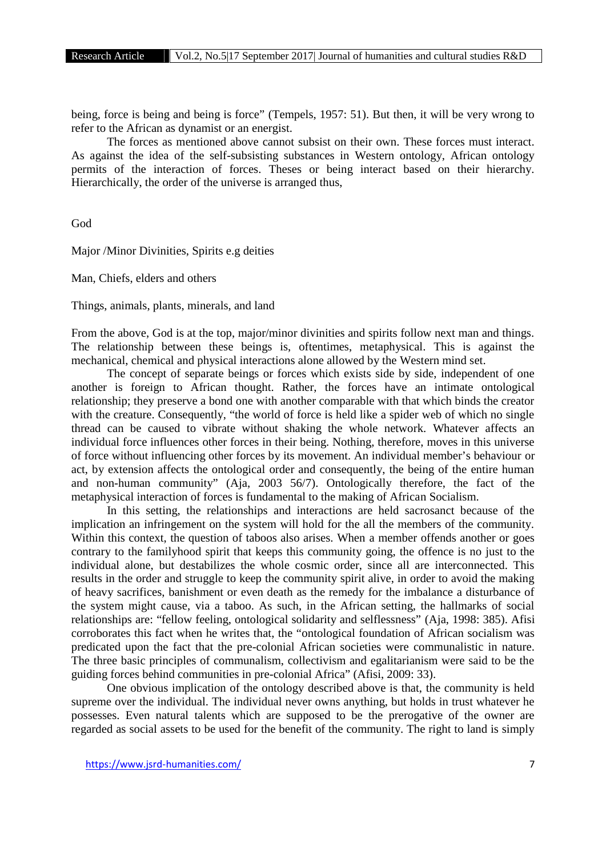being, force is being and being is force" (Tempels, 1957: 51). But then, it will be very wrong to refer to the African as dynamist or an energist.

The forces as mentioned above cannot subsist on their own. These forces must interact. As against the idea of the self-subsisting substances in Western ontology, African ontology permits of the interaction of forces. Theses or being interact based on their hierarchy. Hierarchically, the order of the universe is arranged thus,

God

Major /Minor Divinities, Spirits e.g deities

Man, Chiefs, elders and others

Things, animals, plants, minerals, and land

From the above, God is at the top, major/minor divinities and spirits follow next man and things. The relationship between these beings is, oftentimes, metaphysical. This is against the mechanical, chemical and physical interactions alone allowed by the Western mind set.

The concept of separate beings or forces which exists side by side, independent of one another is foreign to African thought. Rather, the forces have an intimate ontological relationship; they preserve a bond one with another comparable with that which binds the creator with the creature. Consequently, "the world of force is held like a spider web of which no single thread can be caused to vibrate without shaking the whole network. Whatever affects an individual force influences other forces in their being. Nothing, therefore, moves in this universe of force without influencing other forces by its movement. An individual member's behaviour or act, by extension affects the ontological order and consequently, the being of the entire human and non-human community" (Aja, 2003 56/7). Ontologically therefore, the fact of the metaphysical interaction of forces is fundamental to the making of African Socialism.

In this setting, the relationships and interactions are held sacrosanct because of the implication an infringement on the system will hold for the all the members of the community. Within this context, the question of taboos also arises. When a member offends another or goes contrary to the familyhood spirit that keeps this community going, the offence is no just to the individual alone, but destabilizes the whole cosmic order, since all are interconnected. This results in the order and struggle to keep the community spirit alive, in order to avoid the making of heavy sacrifices, banishment or even death as the remedy for the imbalance a disturbance of the system might cause, via a taboo. As such, in the African setting, the hallmarks of social relationships are: "fellow feeling, ontological solidarity and selflessness" (Aja, 1998: 385). Afisi corroborates this fact when he writes that, the "ontological foundation of African socialism was predicated upon the fact that the pre-colonial African societies were communalistic in nature. The three basic principles of communalism, collectivism and egalitarianism were said to be the guiding forces behind communities in pre-colonial Africa" (Afisi, 2009: 33).

One obvious implication of the ontology described above is that, the community is held supreme over the individual. The individual never owns anything, but holds in trust whatever he possesses. Even natural talents which are supposed to be the prerogative of the owner are regarded as social assets to be used for the benefit of the community. The right to land is simply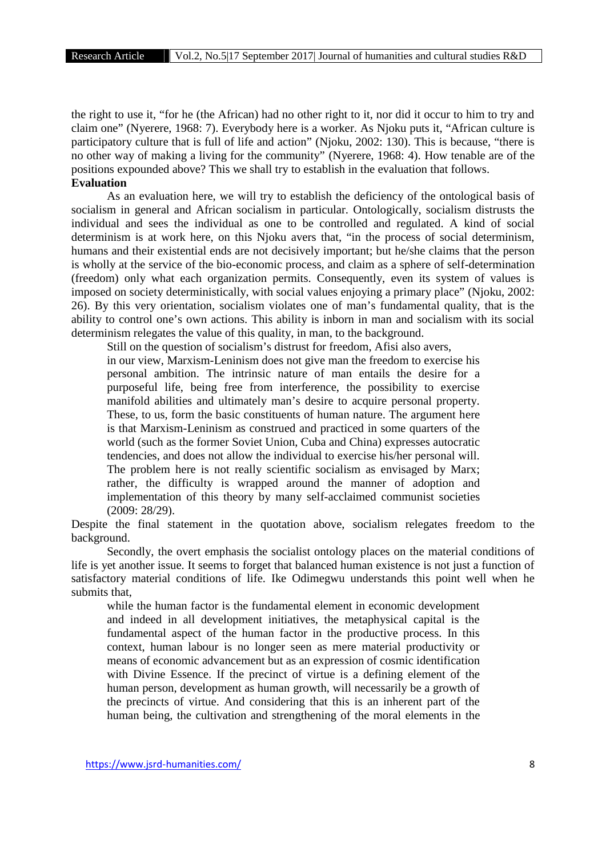the right to use it, "for he (the African) had no other right to it, nor did it occur to him to try and claim one" (Nyerere, 1968: 7). Everybody here is a worker. As Njoku puts it, "African culture is participatory culture that is full of life and action" (Njoku, 2002: 130). This is because, "there is no other way of making a living for the community" (Nyerere, 1968: 4). How tenable are of the positions expounded above? This we shall try to establish in the evaluation that follows. **Evaluation**

As an evaluation here, we will try to establish the deficiency of the ontological basis of socialism in general and African socialism in particular. Ontologically, socialism distrusts the individual and sees the individual as one to be controlled and regulated. A kind of social determinism is at work here, on this Njoku avers that, "in the process of social determinism, humans and their existential ends are not decisively important; but he/she claims that the person is wholly at the service of the bio-economic process, and claim as a sphere of self-determination (freedom) only what each organization permits. Consequently, even its system of values is imposed on society deterministically, with social values enjoying a primary place" (Njoku, 2002: 26). By this very orientation, socialism violates one of man's fundamental quality, that is the ability to control one's own actions. This ability is inborn in man and socialism with its social determinism relegates the value of this quality, in man, to the background.

Still on the question of socialism's distrust for freedom, Afisi also avers, in our view, Marxism-Leninism does not give man the freedom to exercise his personal ambition. The intrinsic nature of man entails the desire for a purposeful life, being free from interference, the possibility to exercise manifold abilities and ultimately man's desire to acquire personal property. These, to us, form the basic constituents of human nature. The argument here is that Marxism-Leninism as construed and practiced in some quarters of the world (such as the former Soviet Union, Cuba and China) expresses autocratic tendencies, and does not allow the individual to exercise his/her personal will. The problem here is not really scientific socialism as envisaged by Marx; rather, the difficulty is wrapped around the manner of adoption and implementation of this theory by many self-acclaimed communist societies (2009: 28/29).

Despite the final statement in the quotation above, socialism relegates freedom to the background.

Secondly, the overt emphasis the socialist ontology places on the material conditions of life is yet another issue. It seems to forget that balanced human existence is not just a function of satisfactory material conditions of life. Ike Odimegwu understands this point well when he submits that,

while the human factor is the fundamental element in economic development and indeed in all development initiatives, the metaphysical capital is the fundamental aspect of the human factor in the productive process. In this context, human labour is no longer seen as mere material productivity or means of economic advancement but as an expression of cosmic identification with Divine Essence. If the precinct of virtue is a defining element of the human person, development as human growth, will necessarily be a growth of the precincts of virtue. And considering that this is an inherent part of the human being, the cultivation and strengthening of the moral elements in the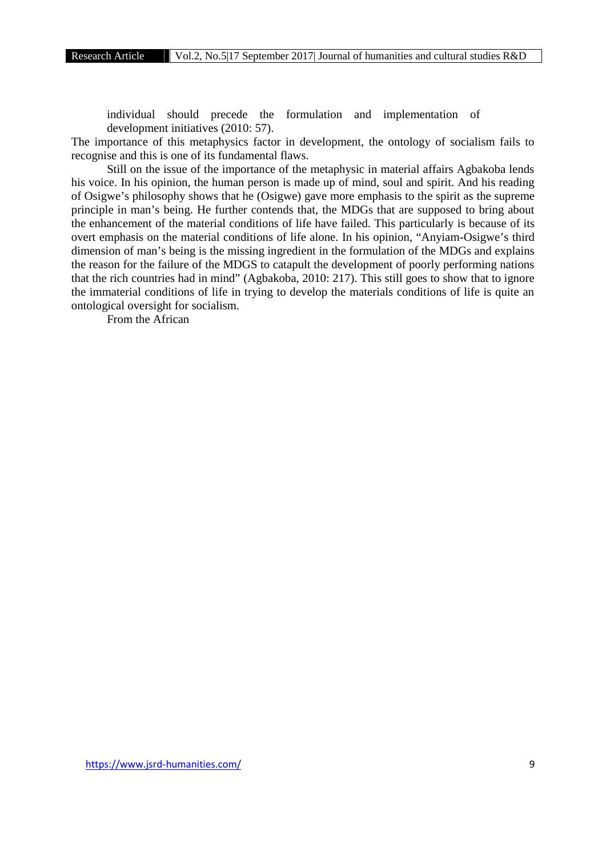individual should precede the formulation and implementation of development initiatives (2010: 57).

The importance of this metaphysics factor in development, the ontology of socialism fails to recognise and this is one of its fundamental flaws.

Still on the issue of the importance of the metaphysic in material affairs Agbakoba lends his voice. In his opinion, the human person is made up of mind, soul and spirit. And his reading of Osigwe's philosophy shows that he (Osigwe) gave more emphasis to the spirit as the supreme principle in man's being. He further contends that, the MDGs that are supposed to bring about the enhancement of the material conditions of life have failed. This particularly is because of its overt emphasis on the material conditions of life alone. In his opinion, "Anyiam-Osigwe's third dimension of man's being is the missing ingredient in the formulation of the MDGs and explains the reason for the failure of the MDGS to catapult the development of poorly performing nations that the rich countries had in mind" (Agbakoba, 2010: 217). This still goes to show that to ignore the immaterial conditions of life in trying to develop the materials conditions of life is quite an ontological oversight for socialism.

From the African